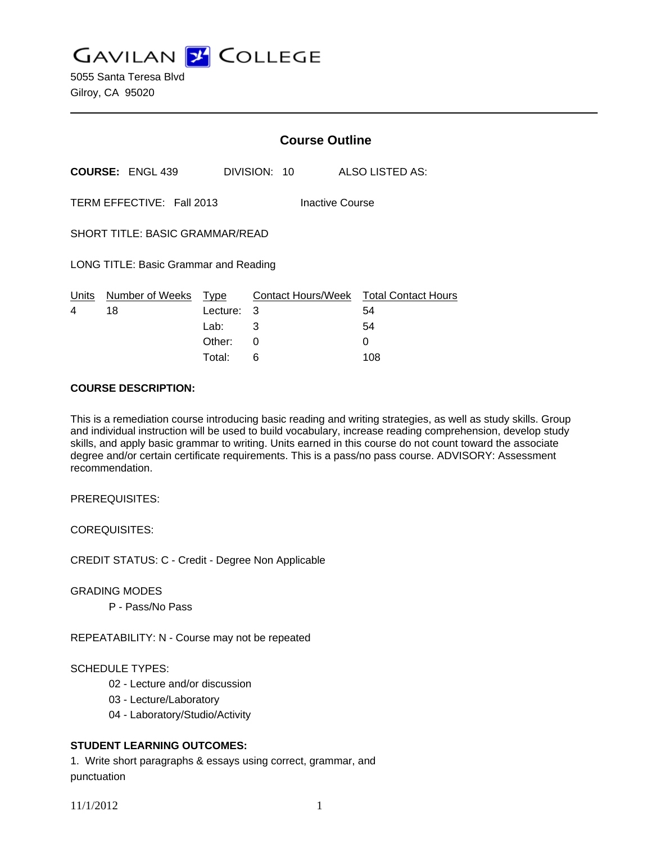**GAVILAN J COLLEGE** 

5055 Santa Teresa Blvd Gilroy, CA 95020

|                                       |                           | <b>Course Outline</b> |                                |                                  |
|---------------------------------------|---------------------------|-----------------------|--------------------------------|----------------------------------|
|                                       | <b>COURSE: ENGL 439</b>   |                       | DIVISION: 10                   | ALSO LISTED AS:                  |
|                                       | TERM EFFECTIVE: Fall 2013 |                       | Inactive Course                |                                  |
| SHORT TITLE: BASIC GRAMMAR/READ       |                           |                       |                                |                                  |
| LONG TITLE: Basic Grammar and Reading |                           |                       |                                |                                  |
| Units<br>4                            | Number of Weeks<br>18     | Type<br>Lecture:      | <b>Contact Hours/Week</b><br>3 | <b>Total Contact Hours</b><br>54 |
|                                       |                           | Lab:                  | 3                              | 54                               |
|                                       |                           | Other:                | 0                              | 0                                |

#### **COURSE DESCRIPTION:**

This is a remediation course introducing basic reading and writing strategies, as well as study skills. Group and individual instruction will be used to build vocabulary, increase reading comprehension, develop study skills, and apply basic grammar to writing. Units earned in this course do not count toward the associate degree and/or certain certificate requirements. This is a pass/no pass course. ADVISORY: Assessment recommendation.

Total: 6 108

PREREQUISITES:

COREQUISITES:

CREDIT STATUS: C - Credit - Degree Non Applicable

GRADING MODES

P - Pass/No Pass

REPEATABILITY: N - Course may not be repeated

# SCHEDULE TYPES:

- 02 Lecture and/or discussion
- 03 Lecture/Laboratory
- 04 Laboratory/Studio/Activity

## **STUDENT LEARNING OUTCOMES:**

1. Write short paragraphs & essays using correct, grammar, and punctuation

11/1/2012 1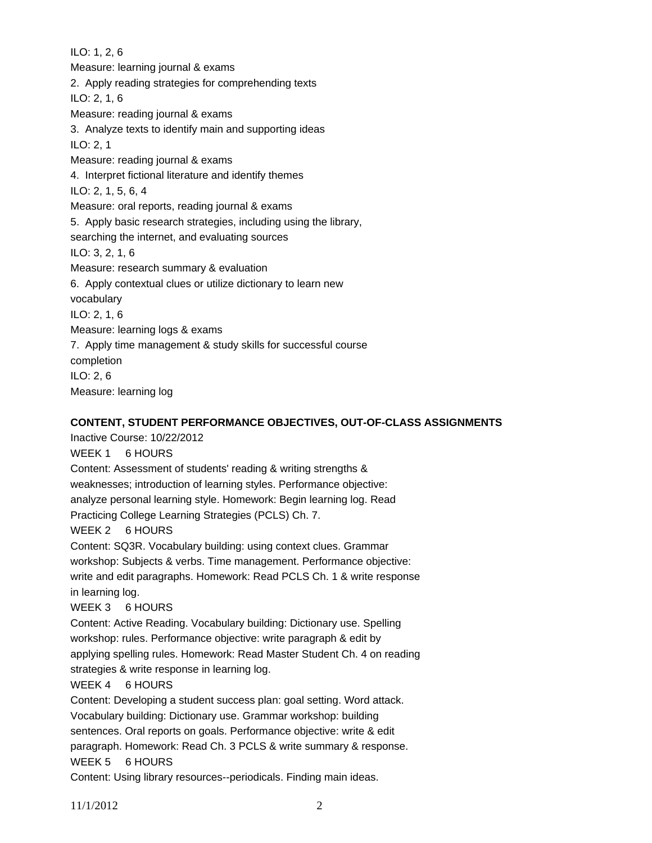ILO: 1, 2, 6 Measure: learning journal & exams 2. Apply reading strategies for comprehending texts ILO: 2, 1, 6 Measure: reading journal & exams 3. Analyze texts to identify main and supporting ideas ILO: 2, 1 Measure: reading journal & exams 4. Interpret fictional literature and identify themes ILO: 2, 1, 5, 6, 4 Measure: oral reports, reading journal & exams 5. Apply basic research strategies, including using the library, searching the internet, and evaluating sources ILO: 3, 2, 1, 6 Measure: research summary & evaluation 6. Apply contextual clues or utilize dictionary to learn new vocabulary ILO: 2, 1, 6 Measure: learning logs & exams 7. Apply time management & study skills for successful course completion ILO: 2, 6 Measure: learning log

### **CONTENT, STUDENT PERFORMANCE OBJECTIVES, OUT-OF-CLASS ASSIGNMENTS**

Inactive Course: 10/22/2012 WEEK 1 6 HOURS Content: Assessment of students' reading & writing strengths & weaknesses; introduction of learning styles. Performance objective: analyze personal learning style. Homework: Begin learning log. Read Practicing College Learning Strategies (PCLS) Ch. 7. WEEK 2 6 HOURS Content: SQ3R. Vocabulary building: using context clues. Grammar workshop: Subjects & verbs. Time management. Performance objective: write and edit paragraphs. Homework: Read PCLS Ch. 1 & write response in learning log. WEEK 3 6 HOURS Content: Active Reading. Vocabulary building: Dictionary use. Spelling workshop: rules. Performance objective: write paragraph & edit by applying spelling rules. Homework: Read Master Student Ch. 4 on reading strategies & write response in learning log. WEEK 4 6 HOURS Content: Developing a student success plan: goal setting. Word attack. Vocabulary building: Dictionary use. Grammar workshop: building sentences. Oral reports on goals. Performance objective: write & edit paragraph. Homework: Read Ch. 3 PCLS & write summary & response. WEEK 5 6 HOURS

Content: Using library resources--periodicals. Finding main ideas.

11/1/2012 2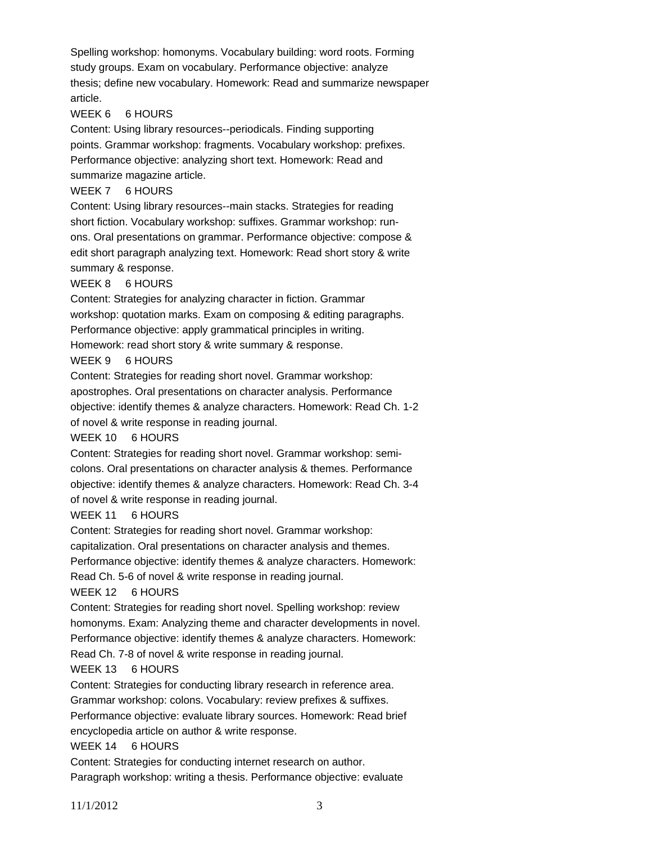Spelling workshop: homonyms. Vocabulary building: word roots. Forming study groups. Exam on vocabulary. Performance objective: analyze thesis; define new vocabulary. Homework: Read and summarize newspaper article.

## WEEK 6 6 HOURS

Content: Using library resources--periodicals. Finding supporting points. Grammar workshop: fragments. Vocabulary workshop: prefixes. Performance objective: analyzing short text. Homework: Read and summarize magazine article.

#### WEEK 7 6 HOURS

Content: Using library resources--main stacks. Strategies for reading short fiction. Vocabulary workshop: suffixes. Grammar workshop: runons. Oral presentations on grammar. Performance objective: compose & edit short paragraph analyzing text. Homework: Read short story & write summary & response.

## WEEK 8 6 HOURS

Content: Strategies for analyzing character in fiction. Grammar workshop: quotation marks. Exam on composing & editing paragraphs. Performance objective: apply grammatical principles in writing. Homework: read short story & write summary & response.

#### WEEK 9 6 HOURS

Content: Strategies for reading short novel. Grammar workshop: apostrophes. Oral presentations on character analysis. Performance objective: identify themes & analyze characters. Homework: Read Ch. 1-2 of novel & write response in reading journal.

#### WEEK 10 6 HOURS

Content: Strategies for reading short novel. Grammar workshop: semicolons. Oral presentations on character analysis & themes. Performance objective: identify themes & analyze characters. Homework: Read Ch. 3-4 of novel & write response in reading journal.

#### WEEK 11 6 HOURS

Content: Strategies for reading short novel. Grammar workshop:

capitalization. Oral presentations on character analysis and themes.

Performance objective: identify themes & analyze characters. Homework:

Read Ch. 5-6 of novel & write response in reading journal.

#### WEEK 12 6 HOURS

Content: Strategies for reading short novel. Spelling workshop: review homonyms. Exam: Analyzing theme and character developments in novel.

Performance objective: identify themes & analyze characters. Homework:

Read Ch. 7-8 of novel & write response in reading journal.

## WEEK 13 6 HOURS

Content: Strategies for conducting library research in reference area. Grammar workshop: colons. Vocabulary: review prefixes & suffixes. Performance objective: evaluate library sources. Homework: Read brief encyclopedia article on author & write response.

#### WEEK 14 6 HOURS

Content: Strategies for conducting internet research on author. Paragraph workshop: writing a thesis. Performance objective: evaluate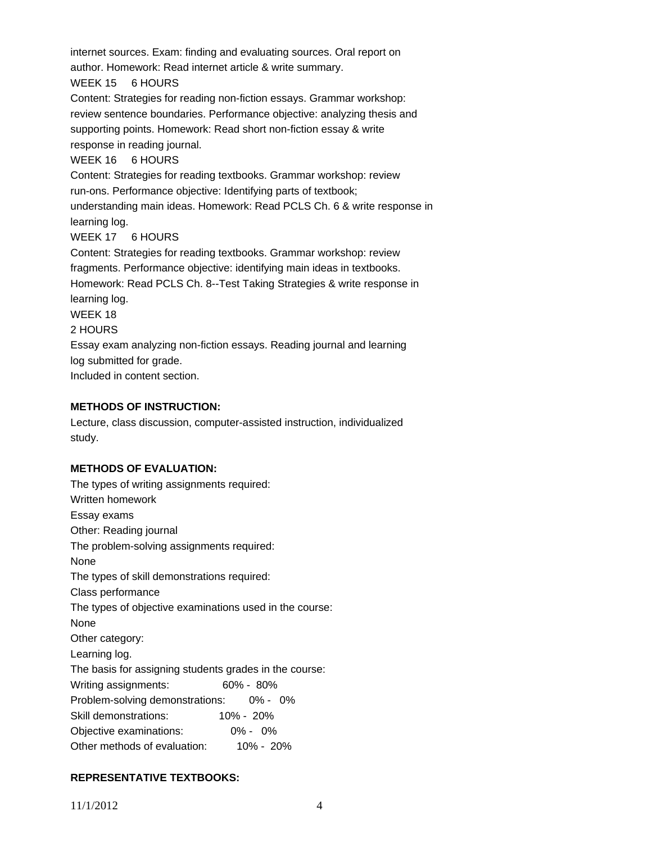internet sources. Exam: finding and evaluating sources. Oral report on author. Homework: Read internet article & write summary. WEEK 15 6 HOURS Content: Strategies for reading non-fiction essays. Grammar workshop: review sentence boundaries. Performance objective: analyzing thesis and supporting points. Homework: Read short non-fiction essay & write response in reading journal. WEEK 16 6 HOURS Content: Strategies for reading textbooks. Grammar workshop: review run-ons. Performance objective: Identifying parts of textbook; understanding main ideas. Homework: Read PCLS Ch. 6 & write response in learning log. WEEK 17 6 HOURS Content: Strategies for reading textbooks. Grammar workshop: review fragments. Performance objective: identifying main ideas in textbooks. Homework: Read PCLS Ch. 8--Test Taking Strategies & write response in learning log. WEEK 18 2 HOURS Essay exam analyzing non-fiction essays. Reading journal and learning log submitted for grade.

Included in content section.

#### **METHODS OF INSTRUCTION:**

Lecture, class discussion, computer-assisted instruction, individualized study.

#### **METHODS OF EVALUATION:**

## **REPRESENTATIVE TEXTBOOKS:**